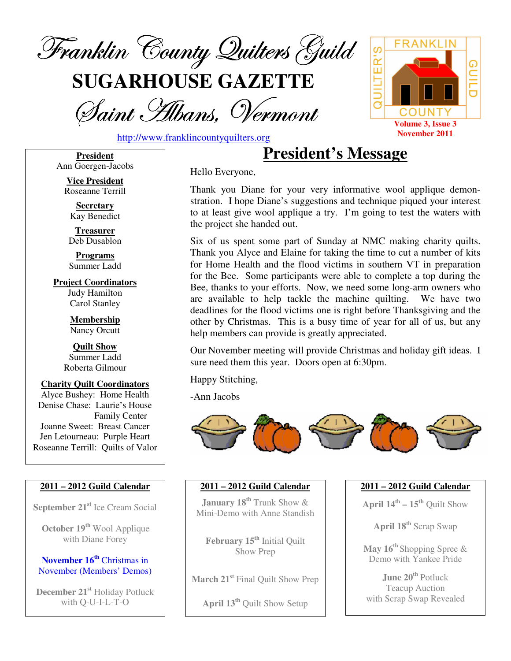

**SUGARHOUSE GAZETTE**

Saint Albans, Vermont



http://www.franklincountyquilters.org

**President** Ann Goergen-Jacobs

> **Vice President** Roseanne Terrill

**Secretary** Kay Benedict

**Treasurer** Deb Dusablon

**Programs** Summer Ladd

**Project Coordinators** Judy Hamilton Carol Stanley

> **Membership** Nancy Orcutt

**Quilt Show** Summer Ladd Roberta Gilmour

**Charity Quilt Coordinators** Alyce Bushey: Home Health Denise Chase: Laurie's House Family Center Joanne Sweet: Breast Cancer Jen Letourneau: Purple Heart Roseanne Terrill: Quilts of Valor

#### **2011 – 2012 Guild Calendar**

**September 21 st** Ice Cream Social

**October 19 th** Wool Applique with Diane Forey

**November 16 th** Christmas in November (Members' Demos)

**December 21 st** Holiday Potluck with Q-U-I-L-T-O

**President's Message**

Hello Everyone,

Thank you Diane for your very informative wool applique demonstration. I hope Diane's suggestions and technique piqued your interest to at least give wool applique a try. I'm going to test the waters with the project she handed out.

Six of us spent some part of Sunday at NMC making charity quilts. Thank you Alyce and Elaine for taking the time to cut a number of kits for Home Health and the flood victims in southern VT in preparation for the Bee. Some participants were able to complete a top during the Bee, thanks to your efforts. Now, we need some long-arm owners who are available to help tackle the machine quilting. We have two deadlines for the flood victims one is right before Thanksgiving and the other by Christmas. This is a busy time of year for all of us, but any help members can provide is greatly appreciated.

Our November meeting will provide Christmas and holiday gift ideas. I sure need them this year. Doors open at 6:30pm.

Happy Stitching,

-Ann Jacobs



#### **2011 – 2012 Guild Calendar**

**January 18 th** Trunk Show & Mini-Demo with Anne Standish

**February 15 th** Initial Quilt Show Prep

**March 21 st** Final Quilt Show Prep

**April 13 th** Quilt Show Setup

**2011 – 2012 Guild Calendar**

**April 14 th – 15 th** Quilt Show

**April 18 th** Scrap Swap

**May 16 th** Shopping Spree & Demo with Yankee Pride

**June 20 th** Potluck Teacup Auction with Scrap Swap Revealed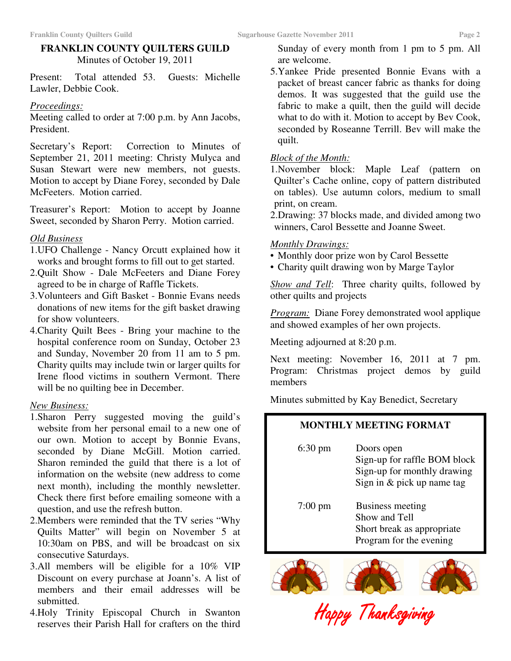#### **FRANKLIN COUNTY QUILTERS GUILD** Minutes of October 19, 2011

Present: Total attended 53. Guests: Michelle Lawler, Debbie Cook.

#### *Proceedings:*

Meeting called to order at 7:00 p.m. by Ann Jacobs, President.

Secretary's Report: Correction to Minutes of September 21, 2011 meeting: Christy Mulyca and Susan Stewart were new members, not guests. Motion to accept by Diane Forey, seconded by Dale McFeeters. Motion carried.

Treasurer's Report: Motion to accept by Joanne Sweet, seconded by Sharon Perry. Motion carried.

#### *Old Business*

- 1.UFO Challenge Nancy Orcutt explained how it works and brought forms to fill out to get started.
- 2.Quilt Show Dale McFeeters and Diane Forey agreed to be in charge of Raffle Tickets.
- 3.Volunteers and Gift Basket Bonnie Evans needs donations of new items for the gift basket drawing for show volunteers.
- 4.Charity Quilt Bees Bring your machine to the hospital conference room on Sunday, October 23 and Sunday, November 20 from 11 am to 5 pm. Charity quilts may include twin or larger quilts for Irene flood victims in southern Vermont. There will be no quilting bee in December.

#### *New Business:*

- 1.Sharon Perry suggested moving the guild's website from her personal email to a new one of our own. Motion to accept by Bonnie Evans, seconded by Diane McGill. Motion carried. Sharon reminded the guild that there is a lot of information on the website (new address to come next month), including the monthly newsletter. Check there first before emailing someone with a question, and use the refresh button.
- 2.Members were reminded that the TV series "Why Quilts Matter" will begin on November 5 at 10:30am on PBS, and will be broadcast on six consecutive Saturdays.
- 3.All members will be eligible for a 10% VIP Discount on every purchase at Joann's. A list of members and their email addresses will be submitted.
- 4.Holy Trinity Episcopal Church in Swanton reserves their Parish Hall for crafters on the third

Sunday of every month from 1 pm to 5 pm. All are welcome.

5.Yankee Pride presented Bonnie Evans with a packet of breast cancer fabric as thanks for doing demos. It was suggested that the guild use the fabric to make a quilt, then the guild will decide what to do with it. Motion to accept by Bev Cook, seconded by Roseanne Terrill. Bev will make the quilt.

#### *Block of the Month:*

- 1.November block: Maple Leaf (pattern on Quilter's Cache online, copy of pattern distributed on tables). Use autumn colors, medium to small print, on cream.
- 2.Drawing: 37 blocks made, and divided among two winners, Carol Bessette and Joanne Sweet.

#### *Monthly Drawings:*

- Monthly door prize won by Carol Bessette
- Charity quilt drawing won by Marge Taylor

*Show and Tell*: Three charity quilts, followed by other quilts and projects

*Program:* Diane Forey demonstrated wool applique and showed examples of her own projects.

Meeting adjourned at 8:20 p.m.

Next meeting: November 16, 2011 at 7 pm. Program: Christmas project demos by guild members

Minutes submitted by Kay Benedict, Secretary

### **MONTHLY MEETING FORMAT**

| $6:30 \text{ pm}$ | Doors open<br>Sign-up for raffle BOM block<br>Sign-up for monthly drawing<br>Sign in & pick up name tag |
|-------------------|---------------------------------------------------------------------------------------------------------|
| $7:00 \text{ pm}$ | <b>Business meeting</b><br>Show and Tell<br>Short break as appropriate<br>Program for the evening       |



Happy Thanksgiving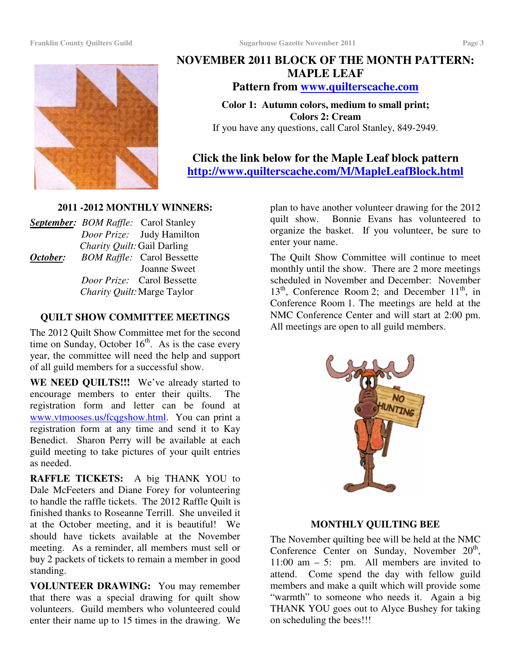

## **NOVEMBER 2011 BLOCK OF THE MONTH PATTERN: MAPLE LEAF**

**Pattern from www.quilterscache.com**

**Color 1: Autumn colors, medium to small print; Colors 2: Cream** If you have any questions, call Carol Stanley, 849-2949.

**Click the link below for the Maple Leaf block pattern http://www.quilterscache.com/M/MapleLeafBlock.html**

#### **2011 -2012 MONTHLY WINNERS:**

|          |                             | <b>September:</b> BOM Raffle: Carol Stanley |
|----------|-----------------------------|---------------------------------------------|
|          |                             | Door Prize: Judy Hamilton                   |
|          | Charity Quilt: Gail Darling |                                             |
| October: |                             | <b>BOM Raffle:</b> Carol Bessette           |
|          |                             | <b>Joanne Sweet</b>                         |
|          |                             | <i>Door Prize:</i> Carol Bessette           |
|          |                             | Charity Quilt: Marge Taylor                 |

#### **QUILT SHOW COMMITTEE MEETINGS**

The 2012 Quilt Show Committee met for the second time on Sunday, October  $16<sup>th</sup>$ . As is the case every year, the committee will need the help and support of all guild members for a successful show.

**WE NEED QUILTS!!!** We've already started to encourage members to enter their quilts. The registration form and letter can be found at www.vtmooses.us/fcqgshow.html. You can print a registration form at any time and send it to Kay Benedict. Sharon Perry will be available at each guild meeting to take pictures of your quilt entries as needed.

**RAFFLE TICKETS:** A big THANK YOU to Dale McFeeters and Diane Forey for volunteering to handle the raffle tickets. The 2012 Raffle Quilt is finished thanks to Roseanne Terrill. She unveiled it at the October meeting, and it is beautiful! We should have tickets available at the November meeting. As a reminder, all members must sell or buy 2 packets of tickets to remain a member in good standing.

**VOLUNTEER DRAWING:** You may remember that there was a special drawing for quilt show volunteers. Guild members who volunteered could enter their name up to 15 times in the drawing. We

plan to have another volunteer drawing for the 2012 quilt show. Bonnie Evans has volunteered to organize the basket. If you volunteer, be sure to enter your name.

The Quilt Show Committee will continue to meet monthly until the show. There are 2 more meetings scheduled in November and December: November  $13<sup>th</sup>$ , Conference Room 2; and December  $11<sup>th</sup>$ , in Conference Room 1. The meetings are held at the NMC Conference Center and will start at 2:00 pm. All meetings are open to all guild members.



#### **MONTHLY QUILTING BEE**

The November quilting bee will be held at the NMC Conference Center on Sunday, November 20<sup>th</sup>, 11:00 am  $-$  5: pm. All members are invited to attend. Come spend the day with fellow guild members and make a quilt which will provide some "warmth" to someone who needs it. Again a big THANK YOU goes out to Alyce Bushey for taking on scheduling the bees!!!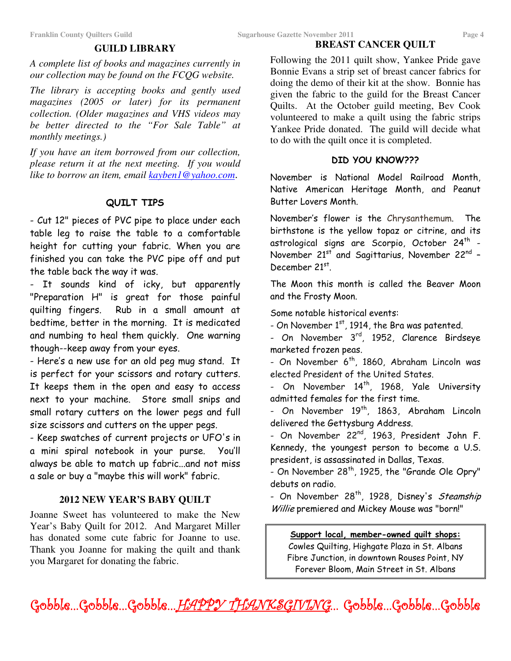#### **BREAST CANCER QUILT**

#### **GUILD LIBRARY**

*A complete list of books and magazines currently in our collection may be found on the FCQG website.*

*The library is accepting books and gently used magazines (2005 or later) for its permanent collection. (Older magazines and VHS videos may be better directed to the "For Sale Table" at monthly meetings.)*

*If you have an item borrowed from our collection, please return it at the next meeting. If you would like to borrow an item, email kayben1@yahoo.com*.

#### QUILT TIPS

- Cut 12" pieces of PVC pipe to place under each table leg to raise the table to a comfortable height for cutting your fabric. When you are finished you can take the PVC pipe off and put the table back the way it was.

- It sounds kind of icky, but apparently "Preparation H" is great for those painful quilting fingers. Rub in a small amount at bedtime, better in the morning. It is medicated and numbing to heal them quickly. One warning though--keep away from your eyes.

- Here's a new use for an old peg mug stand. It is perfect for your scissors and rotary cutters. It keeps them in the open and easy to access next to your machine. Store small snips and small rotary cutters on the lower pegs and full size scissors and cutters on the upper pegs.

- Keep swatches of current projects or UFO's in a mini spiral notebook in your purse. You'll always be able to match up fabric…and not miss a sale or buy a "maybe this will work" fabric.

#### **2012 NEW YEAR'S BABY QUILT**

Joanne Sweet has volunteered to make the New Year's Baby Quilt for 2012. And Margaret Miller has donated some cute fabric for Joanne to use. Thank you Joanne for making the quilt and thank you Margaret for donating the fabric.

Following the 2011 quilt show, Yankee Pride gave Bonnie Evans a strip set of breast cancer fabrics for doing the demo of their kit at the show. Bonnie has given the fabric to the guild for the Breast Cancer Quilts. At the October guild meeting, Bev Cook volunteered to make a quilt using the fabric strips Yankee Pride donated. The guild will decide what to do with the quilt once it is completed.

#### DID YOU KNOW???

November is National Model Railroad Month, Native American Heritage Month, and Peanut Butter Lovers Month.

November's flower is the Chrysanthemum. The birthstone is the yellow topaz or citrine, and its astrological signs are Scorpio, October 24<sup>th</sup> -November 21st and Sagittarius, November 22<sup>nd</sup> -December 21st.

The Moon this month is called the Beaver Moon and the Frosty Moon.

Some notable historical events:

- On November 1st, 1914, the Bra was patented.

- On November 3<sup>rd</sup>, 1952, Clarence Birdseye marketed frozen peas.

- On November 6<sup>th</sup>, 1860, Abraham Lincoln was elected President of the United States.

- On November 14<sup>th</sup>, 1968, Yale University admitted females for the first time.

- On November 19<sup>th</sup>, 1863, Abraham Lincoln delivered the Gettysburg Address.

- On November 22<sup>nd</sup>, 1963, President John F. Kennedy, the youngest person to become a U.S. president, is assassinated in Dallas, Texas.

- On November 28<sup>th</sup>, 1925, the "Grande Ole Opry" debuts on radio.

- On November 28<sup>th</sup>, 1928, Disney's *Steamship* Willie premiered and Mickey Mouse was "born!"

Support local, member-owned quilt shops: Cowles Quilting, Highgate Plaza in St. Albans Fibre Junction, in downtown Rouses Point, NY Forever Bloom, Main Street in St. Albans

Gobble...Gobble...Gobble...<u>.HAPPY\_IHANKSGIVING</u>... Gobble...Gobble...Gobble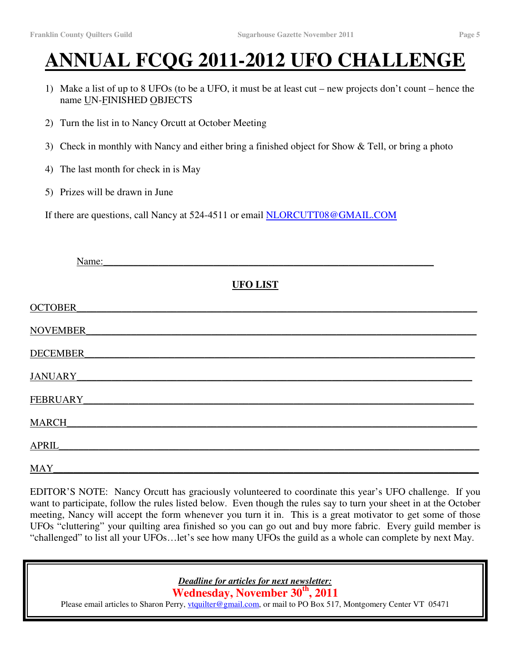# **ANNUAL FCQG 2011-2012 UFO CHALLENGE**

- 1) Make a list of up to 8 UFOs (to be a UFO, it must be at least cut new projects don't count hence the name UN-FINISHED OBJECTS
- 2) Turn the list in to Nancy Orcutt at October Meeting
- 3) Check in monthly with Nancy and either bring a finished object for Show & Tell, or bring a photo
- 4) The last month for check in is May
- 5) Prizes will be drawn in June

If there are questions, call Nancy at 524-4511 or email NLORCUTT08@GMAIL.COM

| Name:              |                 |  |
|--------------------|-----------------|--|
|                    | <b>UFO LIST</b> |  |
| OCTOBER            |                 |  |
| NOVEMBER_          |                 |  |
| DECEMBER           |                 |  |
| JANUARY_           |                 |  |
| FEBRUARY_          |                 |  |
| MARCH              |                 |  |
| APRIL <sub>.</sub> |                 |  |
| MAY                |                 |  |

EDITOR'S NOTE: Nancy Orcutt has graciously volunteered to coordinate this year's UFO challenge. If you want to participate, follow the rules listed below. Even though the rules say to turn your sheet in at the October meeting, Nancy will accept the form whenever you turn it in. This is a great motivator to get some of those UFOs "cluttering" your quilting area finished so you can go out and buy more fabric. Every guild member is "challenged" to list all your UFOs…let's see how many UFOs the guild as a whole can complete by next May.

> *Deadline for articles for next newsletter:* **Wednesday, November 30 th , 2011**

Please email articles to Sharon Perry, *ytquilter@gmail.com*, or mail to PO Box 517, Montgomery Center VT 05471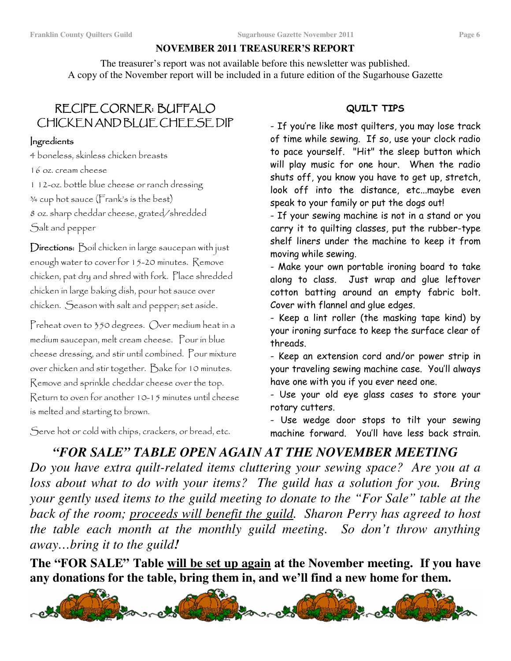#### **NOVEMBER 2011 TREASURER'S REPORT**

The treasurer's report was not available before this newsletter was published. A copy of the November report will be included in a future edition of the Sugarhouse Gazette

# <u>KECIPE COKNEK: BUFFALO</u> CHICKEN AND BLUE CHEESE DIP

#### Ingredients

4 boneless, skinless chicken breasts

 $16$  oz.  $c$  ream  $c$  heese

1 12-oz. bottle blue cheese or ranch dressing , ! + - " # + ! . # / " 0  $s$  oz. sharp cheddar cheese, grated/shredded

Salt and pepper

 $D$ irections:  $D$ oil chicken in large saucepan with just enough water to cover for  $15-20$  minutes. Remove chicken, pat dry and shred with fork. Place shredded chicken in large baking dish, pour hot sauce over chicken. Geason with salt and pepper; set aside.

Preheat oven to 350 degrees. Over medium heat in a medium saucepan, melt cream cheese. Pour in blue cheese dressing, and stir until combined. Pour mixture over chicken and stir together. Dake for 10 minutes. Remove and sprinkle cheddar cheese over the top. Return to oven for another 10-15 minutes until cheese is melted and starting to brown.

Serve hot or cold with chips, crackers, or bread, etc.

#### QUILT TIPS

- If you're like most quilters, you may lose track of time while sewing. If so, use your clock radio to pace yourself. "Hit" the sleep button which will play music for one hour. When the radio shuts off, you know you have to get up, stretch, look off into the distance, etc...maybe even speak to your family or put the dogs out!

- If your sewing machine is not in a stand or you carry it to quilting classes, put the rubber-type shelf liners under the machine to keep it fron moving while sewing.

- Make your own portable ironing board to take along to class. Just wrap and glue leftover cotton batting around an empty fabric bolt. Cover with flannel and glue edges.

- Keep a lint roller (the masking tape kind) by your ironing surface to keep the surface clear of threads.

- Keep an extension cord and/or power strip in your traveling sewing machine case. You'll always have one with you if you ever need one.

- Use your old eye glass cases to store your rotary cutters.

- Use wedge door stops to tilt your sewing machine forward. You'll have less back strain.

# *"FOR SALE" TABLE OPEN AGAIN AT THE NOVEMBER MEETING*

*Do you have extra quilt-related items cluttering your sewing space? Are you at a loss about what to do with your items? The guild has a solution for you. Bring your gently used items to the guild meeting to donate to the "For Sale" table at the back of the room; proceeds will benefit the guild. Sharon Perry has agreed to host the table each month at the monthly guild meeting. So don't throw anything away…bring it to the guild!*

**The "FOR SALE" Table will be set up again at the November meeting. If you have any donations for the table, bring them in, and we'll find a new home for them.**